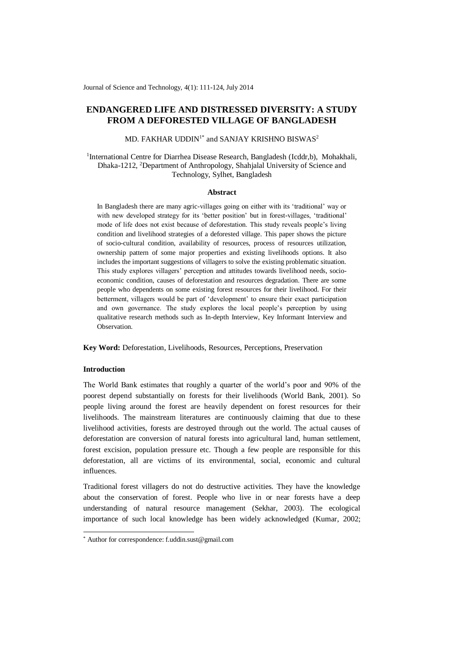Journal of Science and Technology, 4(1): 111-124, July 2014

# **ENDANGERED LIFE AND DISTRESSED DIVERSITY: A STUDY FROM A DEFORESTED VILLAGE OF BANGLADESH**

MD. FAKHAR UDDIN $^{1*}$  and SANJAY KRISHNO BISWAS $^2$ 

<sup>1</sup>International Centre for Diarrhea Disease Research, Bangladesh (Icddr,b), Mohakhali, Dhaka-1212, <sup>2</sup>Department of Anthropology, Shahjalal University of Science and Technology, Sylhet, Bangladesh

#### **Abstract**

In Bangladesh there are many agric-villages going on either with its 'traditional' way or with new developed strategy for its 'better position' but in forest-villages, 'traditional' mode of life does not exist because of deforestation. This study reveals people's living condition and livelihood strategies of a deforested village. This paper shows the picture of socio-cultural condition, availability of resources, process of resources utilization, ownership pattern of some major properties and existing livelihoods options. It also includes the important suggestions of villagers to solve the existing problematic situation. This study explores villagers' perception and attitudes towards livelihood needs, socioeconomic condition, causes of deforestation and resources degradation. There are some people who dependents on some existing forest resources for their livelihood. For their betterment, villagers would be part of 'development' to ensure their exact participation and own governance. The study explores the local people's perception by using qualitative research methods such as In-depth Interview, Key Informant Interview and Observation*.*

**Key Word:** Deforestation, Livelihoods, Resources, Perceptions, Preservation

## **Introduction**

-

The World Bank estimates that roughly a quarter of the world's poor and 90% of the poorest depend substantially on forests for their livelihoods (World Bank, 2001). So people living around the forest are heavily dependent on forest resources for their livelihoods. The mainstream literatures are continuously claiming that due to these livelihood activities, forests are destroyed through out the world. The actual causes of deforestation are conversion of natural forests into agricultural land, human settlement, forest excision, population pressure etc. Though a few people are responsible for this deforestation, all are victims of its environmental, social, economic and cultural influences.

Traditional forest villagers do not do destructive activities. They have the knowledge about the conservation of forest. People who live in or near forests have a deep understanding of natural resource management (Sekhar, 2003). The ecological importance of such local knowledge has been widely acknowledged (Kumar, 2002;

<sup>\*</sup> Author for correspondence: f.uddin.sust@gmail.com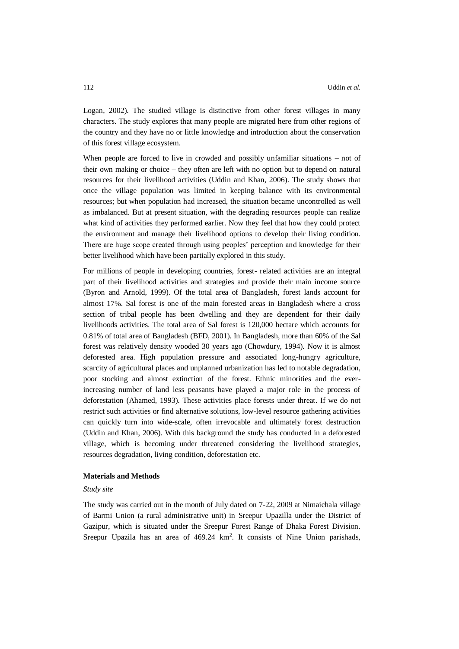Logan, 2002). The studied village is distinctive from other forest villages in many characters. The study explores that many people are migrated here from other regions of the country and they have no or little knowledge and introduction about the conservation of this forest village ecosystem.

When people are forced to live in crowded and possibly unfamiliar situations – not of their own making or choice – they often are left with no option but to depend on natural resources for their livelihood activities (Uddin and Khan, 2006). The study shows that once the village population was limited in keeping balance with its environmental resources; but when population had increased, the situation became uncontrolled as well as imbalanced. But at present situation, with the degrading resources people can realize what kind of activities they performed earlier. Now they feel that how they could protect the environment and manage their livelihood options to develop their living condition. There are huge scope created through using peoples' perception and knowledge for their better livelihood which have been partially explored in this study.

For millions of people in developing countries, forest- related activities are an integral part of their livelihood activities and strategies and provide their main income source (Byron and Arnold, 1999). Of the total area of Bangladesh, forest lands account for almost 17%. Sal forest is one of the main forested areas in Bangladesh where a cross section of tribal people has been dwelling and they are dependent for their daily livelihoods activities. The total area of Sal forest is 120,000 hectare which accounts for 0.81% of total area of Bangladesh (BFD, 2001). In Bangladesh, more than 60% of the Sal forest was relatively density wooded 30 years ago (Chowdury, 1994). Now it is almost deforested area. High population pressure and associated long-hungry agriculture, scarcity of agricultural places and unplanned urbanization has led to notable degradation, poor stocking and almost extinction of the forest. Ethnic minorities and the everincreasing number of land less peasants have played a major role in the process of deforestation (Ahamed, 1993). These activities place forests under threat. If we do not restrict such activities or find alternative solutions, low-level resource gathering activities can quickly turn into wide-scale, often irrevocable and ultimately forest destruction (Uddin and Khan, 2006). With this background the study has conducted in a deforested village, which is becoming under threatened considering the livelihood strategies, resources degradation, living condition, deforestation etc.

### **Materials and Methods**

#### *Study site*

The study was carried out in the month of July dated on 7-22, 2009 at Nimaichala village of Barmi Union (a rural administrative unit) in Sreepur Upazilla under the District of Gazipur, which is situated under the Sreepur Forest Range of Dhaka Forest Division. Sreepur Upazila has an area of 469.24 km<sup>2</sup>. It consists of Nine Union parishads,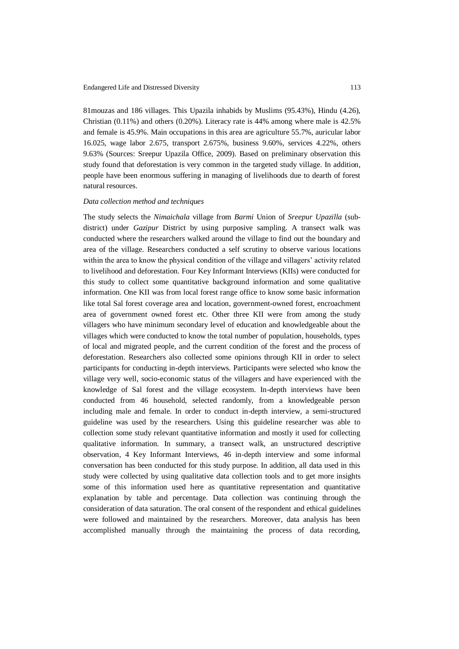81mouzas and 186 villages. This Upazila inhabids by Muslims (95.43%), Hindu (4.26), Christian (0.11%) and others (0.20%). Literacy rate is 44% among where male is 42.5% and female is 45.9%. Main occupations in this area are agriculture 55.7%, auricular labor 16.025, wage labor 2.675, transport 2.675%, business 9.60%, services 4.22%, others 9.63% (Sources: Sreepur Upazila Office, 2009). Based on preliminary observation this study found that deforestation is very common in the targeted study village. In addition, people have been enormous suffering in managing of livelihoods due to dearth of forest natural resources.

#### *Data collection method and techniques*

The study selects the *Nimaichala* village from *Barmi* Union of *Sreepur Upazilla* (subdistrict) under *Gazipur* District by using purposive sampling. A transect walk was conducted where the researchers walked around the village to find out the boundary and area of the village. Researchers conducted a self scrutiny to observe various locations within the area to know the physical condition of the village and villagers' activity related to livelihood and deforestation. Four Key Informant Interviews (KIIs) were conducted for this study to collect some quantitative background information and some qualitative information. One KII was from local forest range office to know some basic information like total Sal forest coverage area and location, government-owned forest, encroachment area of government owned forest etc. Other three KII were from among the study villagers who have minimum secondary level of education and knowledgeable about the villages which were conducted to know the total number of population, households, types of local and migrated people, and the current condition of the forest and the process of deforestation. Researchers also collected some opinions through KII in order to select participants for conducting in-depth interviews. Participants were selected who know the village very well, socio-economic status of the villagers and have experienced with the knowledge of Sal forest and the village ecosystem. In-depth interviews have been conducted from 46 household, selected randomly, from a knowledgeable person including male and female. In order to conduct in-depth interview, a semi-structured guideline was used by the researchers. Using this guideline researcher was able to collection some study relevant quantitative information and mostly it used for collecting qualitative information. In summary, a transect walk, an unstructured descriptive observation, 4 Key Informant Interviews, 46 in-depth interview and some informal conversation has been conducted for this study purpose. In addition, all data used in this study were collected by using qualitative data collection tools and to get more insights some of this information used here as quantitative representation and quantitative explanation by table and percentage. Data collection was continuing through the consideration of data saturation. The oral consent of the respondent and ethical guidelines were followed and maintained by the researchers. Moreover, data analysis has been accomplished manually through the maintaining the process of data recording,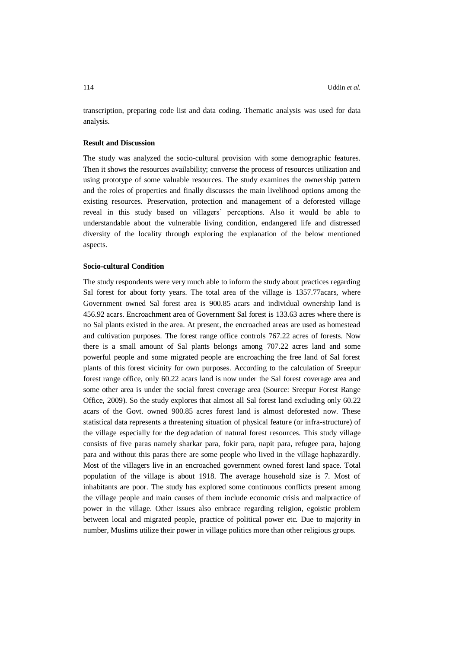transcription, preparing code list and data coding. Thematic analysis was used for data analysis.

#### **Result and Discussion**

The study was analyzed the socio-cultural provision with some demographic features. Then it shows the resources availability; converse the process of resources utilization and using prototype of some valuable resources. The study examines the ownership pattern and the roles of properties and finally discusses the main livelihood options among the existing resources. Preservation, protection and management of a deforested village reveal in this study based on villagers' perceptions. Also it would be able to understandable about the vulnerable living condition, endangered life and distressed diversity of the locality through exploring the explanation of the below mentioned aspects.

### **Socio-cultural Condition**

The study respondents were very much able to inform the study about practices regarding Sal forest for about forty years. The total area of the village is 1357.77acars, where Government owned Sal forest area is 900.85 acars and individual ownership land is 456.92 acars. Encroachment area of Government Sal forest is 133.63 acres where there is no Sal plants existed in the area. At present, the encroached areas are used as homestead and cultivation purposes. The forest range office controls 767.22 acres of forests. Now there is a small amount of Sal plants belongs among 707.22 acres land and some powerful people and some migrated people are encroaching the free land of Sal forest plants of this forest vicinity for own purposes. According to the calculation of Sreepur forest range office, only 60.22 acars land is now under the Sal forest coverage area and some other area is under the social forest coverage area (Source: Sreepur Forest Range Office, 2009). So the study explores that almost all Sal forest land excluding only 60.22 acars of the Govt. owned 900.85 acres forest land is almost deforested now. These statistical data represents a threatening situation of physical feature (or infra-structure) of the village especially for the degradation of natural forest resources. This study village consists of five paras namely sharkar para, fokir para, napit para, refugee para, hajong para and without this paras there are some people who lived in the village haphazardly. Most of the villagers live in an encroached government owned forest land space. Total population of the village is about 1918. The average household size is 7. Most of inhabitants are poor. The study has explored some continuous conflicts present among the village people and main causes of them include economic crisis and malpractice of power in the village. Other issues also embrace regarding religion, egoistic problem between local and migrated people, practice of political power etc. Due to majority in number, Muslims utilize their power in village politics more than other religious groups.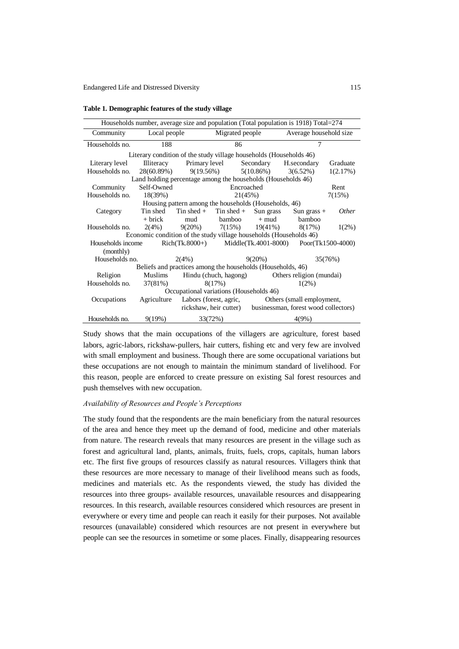| Households number, average size and population (Total population is 1918) Total=274 |                                                       |                                      |                                                            |                          |                                                   |              |  |
|-------------------------------------------------------------------------------------|-------------------------------------------------------|--------------------------------------|------------------------------------------------------------|--------------------------|---------------------------------------------------|--------------|--|
| Community                                                                           | Local people                                          | Migrated people                      |                                                            | Average household size   |                                                   |              |  |
| Households no.                                                                      | 188                                                   | 86                                   |                                                            |                          | 7                                                 |              |  |
| Literary condition of the study village households (Households 46)                  |                                                       |                                      |                                                            |                          |                                                   |              |  |
| Literary level                                                                      | <b>Illiteracy</b>                                     |                                      | Primary level Secondary                                    |                          | H.secondary                                       | Graduate     |  |
| Households no.                                                                      |                                                       | $28(60.89%)$ $9(19.56%)$ $5(10.86%)$ |                                                            |                          | $3(6.52\%)$                                       | 1(2.17%)     |  |
| Land holding percentage among the households (Households 46)                        |                                                       |                                      |                                                            |                          |                                                   |              |  |
| Community                                                                           | Self-Owned                                            | Encroached                           |                                                            |                          | Rent                                              |              |  |
| Households no.                                                                      | 18(39%)                                               | 21(45%)                              |                                                            |                          | 7(15%)                                            |              |  |
|                                                                                     | Housing pattern among the households (Households, 46) |                                      |                                                            |                          |                                                   |              |  |
| Category                                                                            | Tin shed                                              | Tin shed $+$                         | Tin shed $+$                                               | Sun grass                | Sun grass $+$                                     | <i>Other</i> |  |
|                                                                                     | $+$ brick                                             | mud                                  | bamboo                                                     | $+ \text{ mud}$          | bamboo                                            |              |  |
| Households no.                                                                      |                                                       |                                      |                                                            |                          | $2(4\%)$ $9(20\%)$ $7(15\%)$ $19(41\%)$ $8(17\%)$ | $1(2\%)$     |  |
| Economic condition of the study village households (Households 46)                  |                                                       |                                      |                                                            |                          |                                                   |              |  |
| Households income                                                                   |                                                       |                                      | $Rich(Tk.8000+)$ $Midde(Tk.4001-8000)$ $Poor(Tk1500-4000)$ |                          |                                                   |              |  |
| (monthly)                                                                           |                                                       |                                      |                                                            |                          |                                                   |              |  |
| Households no.                                                                      |                                                       | 2(4%)                                | $9(20\%)$                                                  |                          | 35(76%)                                           |              |  |
| Beliefs and practices among the households (Households, 46)                         |                                                       |                                      |                                                            |                          |                                                   |              |  |
| Religion                                                                            | Hindu (chuch, hagong)<br>Muslims                      |                                      |                                                            | Others religion (mundai) |                                                   |              |  |
| Households no.                                                                      | 37(81%)                                               | 8(17%)                               |                                                            | $1(2\%)$                 |                                                   |              |  |
| Occupational variations (Households 46)                                             |                                                       |                                      |                                                            |                          |                                                   |              |  |
| Occupations<br>Agriculture                                                          |                                                       | Labors (forest, agric,               |                                                            |                          | Others (small employment,                         |              |  |
| rickshaw, heir cutter) businessman, forest wood collectors)                         |                                                       |                                      |                                                            |                          |                                                   |              |  |
| Households no.<br>9(19%)                                                            |                                                       | 33(72%)                              |                                                            | 4(9%)                    |                                                   |              |  |

**Table 1. Demographic features of the study village**

Study shows that the main occupations of the villagers are agriculture, forest based labors, agric-labors, rickshaw-pullers, hair cutters, fishing etc and very few are involved with small employment and business. Though there are some occupational variations but these occupations are not enough to maintain the minimum standard of livelihood. For this reason, people are enforced to create pressure on existing Sal forest resources and push themselves with new occupation.

### *Availability of Resources and People's Perceptions*

The study found that the respondents are the main beneficiary from the natural resources of the area and hence they meet up the demand of food, medicine and other materials from nature. The research reveals that many resources are present in the village such as forest and agricultural land, plants, animals, fruits, fuels, crops, capitals, human labors etc. The first five groups of resources classify as natural resources. Villagers think that these resources are more necessary to manage of their livelihood means such as foods, medicines and materials etc. As the respondents viewed, the study has divided the resources into three groups- available resources, unavailable resources and disappearing resources. In this research, available resources considered which resources are present in everywhere or every time and people can reach it easily for their purposes. Not available resources (unavailable) considered which resources are not present in everywhere but people can see the resources in sometime or some places. Finally, disappearing resources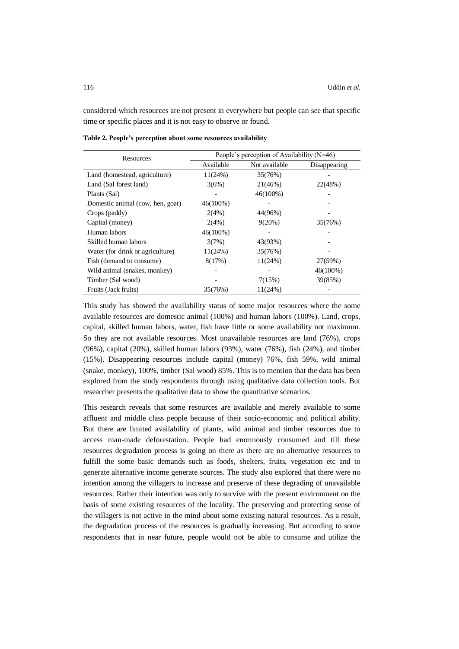considered which resources are not present in everywhere but people can see that specific time or specific places and it is not easy to observe or found.

| Resources                        | People's perception of Availability ( $N=46$ ) |               |              |  |
|----------------------------------|------------------------------------------------|---------------|--------------|--|
|                                  | Available                                      | Not available | Disappearing |  |
| Land (homestead, agriculture)    | 11(24%)                                        | 35(76%)       |              |  |
| Land (Sal forest land)           | 3(6%)                                          | 21(46%)       | 22(48%)      |  |
| Plants (Sal)                     |                                                | $46(100\%)$   |              |  |
| Domestic animal (cow, hen, goat) | $46(100\%)$                                    |               |              |  |
| Crops (paddy)                    | 2(4%)                                          | 44(96%)       |              |  |
| Capital (money)                  | 2(4%)                                          | $9(20\%)$     | 35(76%)      |  |
| Human labors                     | $46(100\%)$                                    |               |              |  |
| Skilled human labors             | 3(7%)                                          | 43(93%)       |              |  |
| Water (for drink or agriculture) | 11(24%)                                        | 35(76%)       |              |  |
| Fish (demand to consume)         | 8(17%)                                         | 11(24%)       | 27(59%)      |  |
| Wild animal (snakes, monkey)     |                                                |               | $46(100\%)$  |  |
| Timber (Sal wood)                |                                                | 7(15%)        | 39(85%)      |  |
| Fruits (Jack fruits)             | 35(76%)                                        | 11(24%)       |              |  |

**Table 2. People's perception about some resources availability**

This study has showed the availability status of some major resources where the some available resources are domestic animal (100%) and human labors (100%). Land, crops, capital, skilled human labors, water, fish have little or some availability not maximum. So they are not available resources. Most unavailable resources are land (76%), crops (96%), capital (20%), skilled human labors (93%), water (76%), fish (24%), and timber (15%). Disappearing resources include capital (money) 76%, fish 59%, wild animal (snake, monkey), 100%, timber (Sal wood) 85%. This is to mention that the data has been explored from the study respondents through using qualitative data collection tools. But researcher presents the qualitative data to show the quantitative scenarios.

This research reveals that some resources are available and merely available to some affluent and middle class people because of their socio-economic and political ability. But there are limited availability of plants, wild animal and timber resources due to access man-made deforestation. People had enormously consumed and till these resources degradation process is going on there as there are no alternative resources to fulfill the some basic demands such as foods, shelters, fruits, vegetation etc and to generate alternative income generate sources. The study also explored that there were no intention among the villagers to increase and preserve of these degrading of unavailable resources. Rather their intention was only to survive with the present environment on the basis of some existing resources of the locality. The preserving and protecting sense of the villagers is not active in the mind about some existing natural resources. As a result, the degradation process of the resources is gradually increasing. But according to some respondents that in near future, people would not be able to consume and utilize the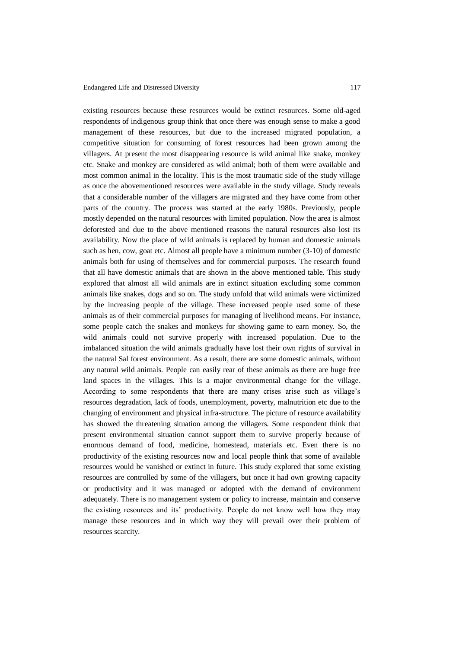existing resources because these resources would be extinct resources. Some old-aged respondents of indigenous group think that once there was enough sense to make a good management of these resources, but due to the increased migrated population, a competitive situation for consuming of forest resources had been grown among the villagers. At present the most disappearing resource is wild animal like snake, monkey etc. Snake and monkey are considered as wild animal; both of them were available and most common animal in the locality. This is the most traumatic side of the study village as once the abovementioned resources were available in the study village. Study reveals that a considerable number of the villagers are migrated and they have come from other parts of the country. The process was started at the early 1980s. Previously, people mostly depended on the natural resources with limited population. Now the area is almost deforested and due to the above mentioned reasons the natural resources also lost its availability. Now the place of wild animals is replaced by human and domestic animals such as hen, cow, goat etc. Almost all people have a minimum number (3-10) of domestic animals both for using of themselves and for commercial purposes. The research found that all have domestic animals that are shown in the above mentioned table. This study explored that almost all wild animals are in extinct situation excluding some common animals like snakes, dogs and so on. The study unfold that wild animals were victimized by the increasing people of the village. These increased people used some of these animals as of their commercial purposes for managing of livelihood means. For instance, some people catch the snakes and monkeys for showing game to earn money. So, the wild animals could not survive properly with increased population. Due to the imbalanced situation the wild animals gradually have lost their own rights of survival in the natural Sal forest environment. As a result, there are some domestic animals, without any natural wild animals. People can easily rear of these animals as there are huge free land spaces in the villages. This is a major environmental change for the village. According to some respondents that there are many crises arise such as village's resources degradation, lack of foods, unemployment, poverty, malnutrition etc due to the changing of environment and physical infra-structure. The picture of resource availability has showed the threatening situation among the villagers. Some respondent think that present environmental situation cannot support them to survive properly because of enormous demand of food, medicine, homestead, materials etc. Even there is no productivity of the existing resources now and local people think that some of available resources would be vanished or extinct in future. This study explored that some existing resources are controlled by some of the villagers, but once it had own growing capacity or productivity and it was managed or adopted with the demand of environment adequately. There is no management system or policy to increase, maintain and conserve the existing resources and its' productivity. People do not know well how they may manage these resources and in which way they will prevail over their problem of resources scarcity.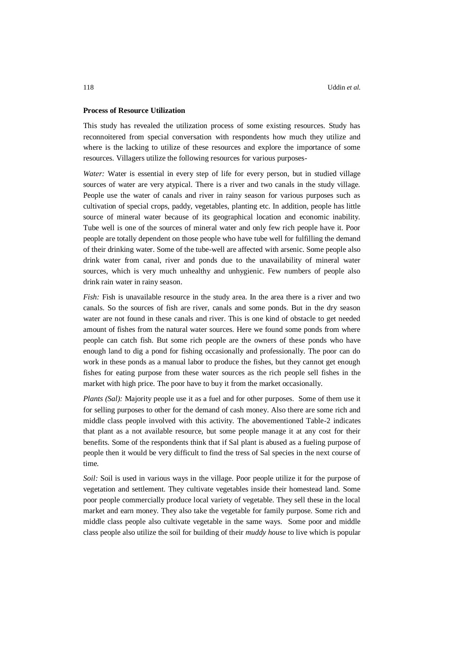### **Process of Resource Utilization**

This study has revealed the utilization process of some existing resources. Study has reconnoitered from special conversation with respondents how much they utilize and where is the lacking to utilize of these resources and explore the importance of some resources. Villagers utilize the following resources for various purposes-

*Water:* Water is essential in every step of life for every person, but in studied village sources of water are very atypical. There is a river and two canals in the study village. People use the water of canals and river in rainy season for various purposes such as cultivation of special crops, paddy, vegetables, planting etc. In addition, people has little source of mineral water because of its geographical location and economic inability. Tube well is one of the sources of mineral water and only few rich people have it. Poor people are totally dependent on those people who have tube well for fulfilling the demand of their drinking water. Some of the tube-well are affected with arsenic. Some people also drink water from canal, river and ponds due to the unavailability of mineral water sources, which is very much unhealthy and unhygienic. Few numbers of people also drink rain water in rainy season.

*Fish:* Fish is unavailable resource in the study area. In the area there is a river and two canals. So the sources of fish are river, canals and some ponds. But in the dry season water are not found in these canals and river. This is one kind of obstacle to get needed amount of fishes from the natural water sources. Here we found some ponds from where people can catch fish. But some rich people are the owners of these ponds who have enough land to dig a pond for fishing occasionally and professionally. The poor can do work in these ponds as a manual labor to produce the fishes, but they cannot get enough fishes for eating purpose from these water sources as the rich people sell fishes in the market with high price. The poor have to buy it from the market occasionally.

*Plants (Sal):* Majority people use it as a fuel and for other purposes. Some of them use it for selling purposes to other for the demand of cash money. Also there are some rich and middle class people involved with this activity. The abovementioned Table-2 indicates that plant as a not available resource, but some people manage it at any cost for their benefits. Some of the respondents think that if Sal plant is abused as a fueling purpose of people then it would be very difficult to find the tress of Sal species in the next course of time.

*Soil:* Soil is used in various ways in the village. Poor people utilize it for the purpose of vegetation and settlement. They cultivate vegetables inside their homestead land. Some poor people commercially produce local variety of vegetable. They sell these in the local market and earn money. They also take the vegetable for family purpose. Some rich and middle class people also cultivate vegetable in the same ways. Some poor and middle class people also utilize the soil for building of their *muddy house* to live which is popular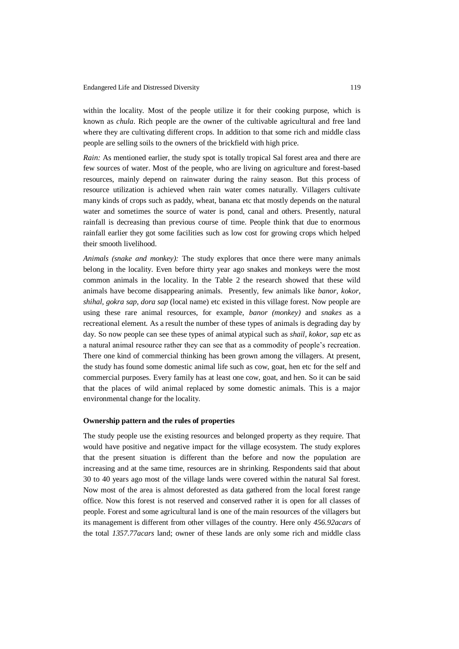within the locality. Most of the people utilize it for their cooking purpose, which is known as *chula*. Rich people are the owner of the cultivable agricultural and free land where they are cultivating different crops. In addition to that some rich and middle class people are selling soils to the owners of the brickfield with high price.

*Rain:* As mentioned earlier, the study spot is totally tropical Sal forest area and there are few sources of water. Most of the people, who are living on agriculture and forest-based resources, mainly depend on rainwater during the rainy season. But this process of resource utilization is achieved when rain water comes naturally. Villagers cultivate many kinds of crops such as paddy, wheat, banana etc that mostly depends on the natural water and sometimes the source of water is pond, canal and others. Presently, natural rainfall is decreasing than previous course of time. People think that due to enormous rainfall earlier they got some facilities such as low cost for growing crops which helped their smooth livelihood.

*Animals (snake and monkey):* The study explores that once there were many animals belong in the locality. Even before thirty year ago snakes and monkeys were the most common animals in the locality. In the Table 2 the research showed that these wild animals have become disappearing animals. Presently, few animals like *banor, kokor, shihal, gokra sap, dora sap* (local name) etc existed in this village forest. Now people are using these rare animal resources, for example, *banor (monkey)* and *snakes* as a recreational element. As a result the number of these types of animals is degrading day by day. So now people can see these types of animal atypical such as *shail, kokor, sap* etc as a natural animal resource rather they can see that as a commodity of people's recreation. There one kind of commercial thinking has been grown among the villagers. At present, the study has found some domestic animal life such as cow, goat, hen etc for the self and commercial purposes. Every family has at least one cow, goat, and hen. So it can be said that the places of wild animal replaced by some domestic animals. This is a major environmental change for the locality.

#### **Ownership pattern and the rules of properties**

The study people use the existing resources and belonged property as they require. That would have positive and negative impact for the village ecosystem. The study explores that the present situation is different than the before and now the population are increasing and at the same time, resources are in shrinking. Respondents said that about 30 to 40 years ago most of the village lands were covered within the natural Sal forest. Now most of the area is almost deforested as data gathered from the local forest range office. Now this forest is not reserved and conserved rather it is open for all classes of people. Forest and some agricultural land is one of the main resources of the villagers but its management is different from other villages of the country. Here only *456.92acars* of the total *1357.77acars* land; owner of these lands are only some rich and middle class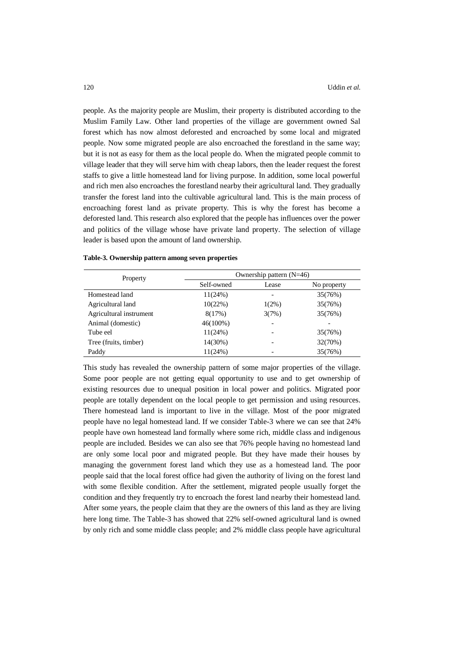people. As the majority people are Muslim, their property is distributed according to the Muslim Family Law. Other land properties of the village are government owned Sal forest which has now almost deforested and encroached by some local and migrated people. Now some migrated people are also encroached the forestland in the same way; but it is not as easy for them as the local people do. When the migrated people commit to village leader that they will serve him with cheap labors, then the leader request the forest staffs to give a little homestead land for living purpose. In addition, some local powerful and rich men also encroaches the forestland nearby their agricultural land. They gradually transfer the forest land into the cultivable agricultural land. This is the main process of encroaching forest land as private property. This is why the forest has become a deforested land. This research also explored that the people has influences over the power and politics of the village whose have private land property. The selection of village leader is based upon the amount of land ownership.

| Property                | Ownership pattern $(N=46)$ |          |             |  |  |
|-------------------------|----------------------------|----------|-------------|--|--|
|                         | Self-owned                 | Lease    | No property |  |  |
| Homestead land          | 11(24%)                    |          | 35(76%)     |  |  |
| Agricultural land       | 10(22%)                    | $1(2\%)$ | 35(76%)     |  |  |
| Agricultural instrument | 8(17%)                     | 3(7%)    | 35(76%)     |  |  |
| Animal (domestic)       | $46(100\%)$                |          |             |  |  |
| Tube eel                | 11(24%)                    |          | 35(76%)     |  |  |
| Tree (fruits, timber)   | 14(30%)                    |          | 32(70%)     |  |  |
| Paddy                   | 11(24%)                    |          | 35(76%)     |  |  |

| Table-3. Ownership pattern among seven properties |  |  |  |  |  |  |
|---------------------------------------------------|--|--|--|--|--|--|
|---------------------------------------------------|--|--|--|--|--|--|

This study has revealed the ownership pattern of some major properties of the village. Some poor people are not getting equal opportunity to use and to get ownership of existing resources due to unequal position in local power and politics. Migrated poor people are totally dependent on the local people to get permission and using resources. There homestead land is important to live in the village. Most of the poor migrated people have no legal homestead land. If we consider Table-3 where we can see that 24% people have own homestead land formally where some rich, middle class and indigenous people are included. Besides we can also see that 76% people having no homestead land are only some local poor and migrated people. But they have made their houses by managing the government forest land which they use as a homestead land. The poor people said that the local forest office had given the authority of living on the forest land with some flexible condition. After the settlement, migrated people usually forget the condition and they frequently try to encroach the forest land nearby their homestead land. After some years, the people claim that they are the owners of this land as they are living here long time. The Table-3 has showed that 22% self-owned agricultural land is owned by only rich and some middle class people; and 2% middle class people have agricultural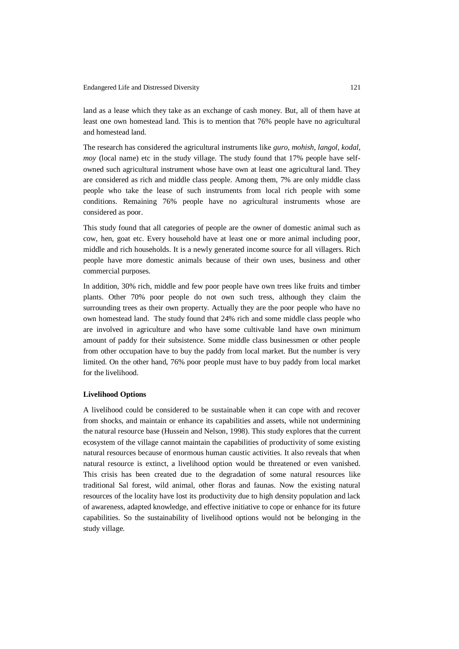land as a lease which they take as an exchange of cash money. But, all of them have at least one own homestead land. This is to mention that 76% people have no agricultural and homestead land.

The research has considered the agricultural instruments like *guro, mohish, langol, kodal, moy* (local name) etc in the study village. The study found that 17% people have selfowned such agricultural instrument whose have own at least one agricultural land. They are considered as rich and middle class people. Among them, 7% are only middle class people who take the lease of such instruments from local rich people with some conditions. Remaining 76% people have no agricultural instruments whose are considered as poor.

This study found that all categories of people are the owner of domestic animal such as cow, hen, goat etc. Every household have at least one or more animal including poor, middle and rich households. It is a newly generated income source for all villagers. Rich people have more domestic animals because of their own uses, business and other commercial purposes.

In addition, 30% rich, middle and few poor people have own trees like fruits and timber plants. Other 70% poor people do not own such tress, although they claim the surrounding trees as their own property. Actually they are the poor people who have no own homestead land. The study found that 24% rich and some middle class people who are involved in agriculture and who have some cultivable land have own minimum amount of paddy for their subsistence. Some middle class businessmen or other people from other occupation have to buy the paddy from local market. But the number is very limited. On the other hand, 76% poor people must have to buy paddy from local market for the livelihood.

### **Livelihood Options**

A livelihood could be considered to be sustainable when it can cope with and recover from shocks, and maintain or enhance its capabilities and assets, while not undermining the natural resource base (Hussein and Nelson, 1998). This study explores that the current ecosystem of the village cannot maintain the capabilities of productivity of some existing natural resources because of enormous human caustic activities. It also reveals that when natural resource is extinct, a livelihood option would be threatened or even vanished. This crisis has been created due to the degradation of some natural resources like traditional Sal forest, wild animal, other floras and faunas. Now the existing natural resources of the locality have lost its productivity due to high density population and lack of awareness, adapted knowledge, and effective initiative to cope or enhance for its future capabilities. So the sustainability of livelihood options would not be belonging in the study village.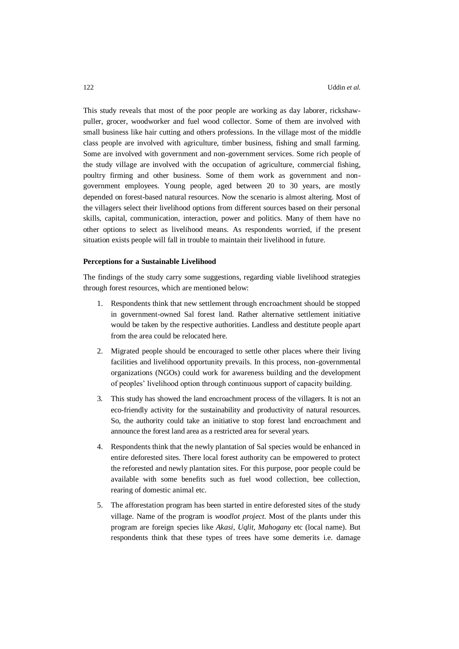This study reveals that most of the poor people are working as day laborer, rickshawpuller, grocer, woodworker and fuel wood collector. Some of them are involved with small business like hair cutting and others professions. In the village most of the middle class people are involved with agriculture, timber business, fishing and small farming. Some are involved with government and non-government services. Some rich people of the study village are involved with the occupation of agriculture, commercial fishing, poultry firming and other business. Some of them work as government and nongovernment employees. Young people, aged between 20 to 30 years, are mostly depended on forest-based natural resources. Now the scenario is almost altering. Most of the villagers select their livelihood options from different sources based on their personal skills, capital, communication, interaction, power and politics. Many of them have no other options to select as livelihood means. As respondents worried, if the present situation exists people will fall in trouble to maintain their livelihood in future.

#### **Perceptions for a Sustainable Livelihood**

The findings of the study carry some suggestions, regarding viable livelihood strategies through forest resources, which are mentioned below:

- 1. Respondents think that new settlement through encroachment should be stopped in government-owned Sal forest land. Rather alternative settlement initiative would be taken by the respective authorities. Landless and destitute people apart from the area could be relocated here.
- 2. Migrated people should be encouraged to settle other places where their living facilities and livelihood opportunity prevails. In this process, non-governmental organizations (NGOs) could work for awareness building and the development of peoples' livelihood option through continuous support of capacity building.
- 3. This study has showed the land encroachment process of the villagers. It is not an eco-friendly activity for the sustainability and productivity of natural resources. So, the authority could take an initiative to stop forest land encroachment and announce the forest land area as a restricted area for several years.
- 4. Respondents think that the newly plantation of Sal species would be enhanced in entire deforested sites. There local forest authority can be empowered to protect the reforested and newly plantation sites. For this purpose, poor people could be available with some benefits such as fuel wood collection, bee collection, rearing of domestic animal etc.
- 5. The afforestation program has been started in entire deforested sites of the study village. Name of the program is *woodlot project*. Most of the plants under this program are foreign species like *Akasi, Uqlit, Mahogany* etc (local name). But respondents think that these types of trees have some demerits i.e. damage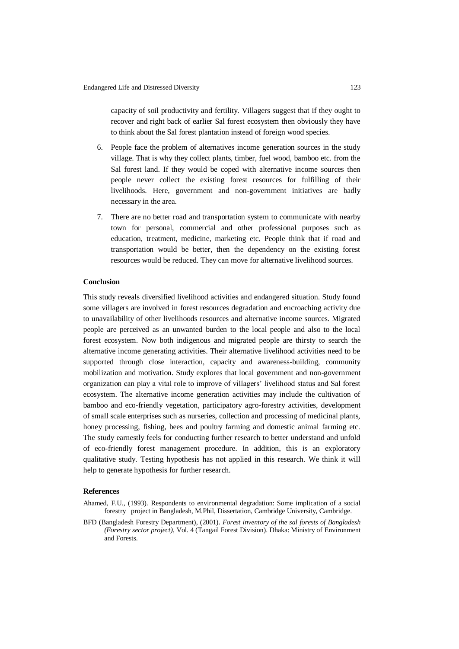capacity of soil productivity and fertility. Villagers suggest that if they ought to recover and right back of earlier Sal forest ecosystem then obviously they have to think about the Sal forest plantation instead of foreign wood species.

- 6. People face the problem of alternatives income generation sources in the study village. That is why they collect plants, timber, fuel wood, bamboo etc. from the Sal forest land. If they would be coped with alternative income sources then people never collect the existing forest resources for fulfilling of their livelihoods. Here, government and non-government initiatives are badly necessary in the area.
- 7. There are no better road and transportation system to communicate with nearby town for personal, commercial and other professional purposes such as education, treatment, medicine, marketing etc. People think that if road and transportation would be better, then the dependency on the existing forest resources would be reduced. They can move for alternative livelihood sources.

### **Conclusion**

This study reveals diversified livelihood activities and endangered situation. Study found some villagers are involved in forest resources degradation and encroaching activity due to unavailability of other livelihoods resources and alternative income sources. Migrated people are perceived as an unwanted burden to the local people and also to the local forest ecosystem. Now both indigenous and migrated people are thirsty to search the alternative income generating activities. Their alternative livelihood activities need to be supported through close interaction, capacity and awareness-building, community mobilization and motivation. Study explores that local government and non-government organization can play a vital role to improve of villagers' livelihood status and Sal forest ecosystem. The alternative income generation activities may include the cultivation of bamboo and eco-friendly vegetation, participatory agro-forestry activities, development of small scale enterprises such as nurseries, collection and processing of medicinal plants, honey processing, fishing, bees and poultry farming and domestic animal farming etc. The study earnestly feels for conducting further research to better understand and unfold of eco-friendly forest management procedure. In addition, this is an exploratory qualitative study. Testing hypothesis has not applied in this research. We think it will help to generate hypothesis for further research.

### **References**

- Ahamed, F.U., (1993). Respondents to environmental degradation: Some implication of a social forestry project in Bangladesh, M.Phil, Dissertation, Cambridge University, Cambridge.
- BFD (Bangladesh Forestry Department), (2001). *Forest inventory of the sal forests of Bangladesh (Forestry sector project)*, Vol. 4 (Tangail Forest Division). Dhaka: Ministry of Environment and Forests.